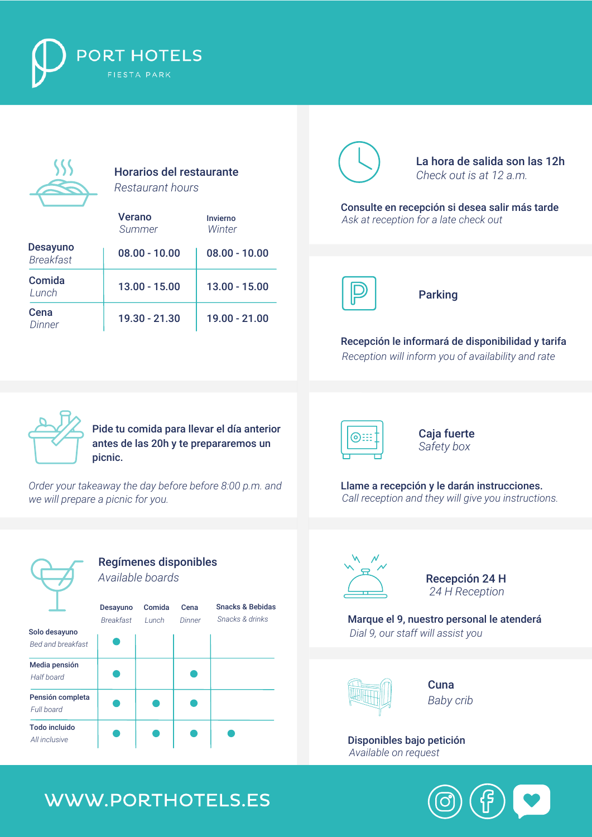



Horarios del restaurante *Restaurant hours*

|                                     | <b>Verano</b><br>Summer | Invierno<br>Winter |
|-------------------------------------|-------------------------|--------------------|
| <b>Desayuno</b><br><b>Breakfast</b> | $08.00 - 10.00$         | $08.00 - 10.00$    |
| Comida<br>Lunch                     | $13.00 - 15.00$         | $13.00 - 15.00$    |
| Cena<br>Dinner                      | 19.30 - 21.30           | 19.00 - 21.00      |



La hora de salida son las 12h *Check out is at 12 a.m.*

*Ask at reception for a late check out* Consulte en recepción si desea salir más tarde



Parking

*Reception will inform you of availability and rate* Recepción le informará de disponibilidad y tarifa



Pide tu comida para llevar el día anterior antes de las 20h y te prepararemos un picnic.

*Order your takeaway the day before before 8:00 p.m. and we will prepare a picnic for you.*



Caja fuerte *Safety box*

*Call reception and they will give you instructions.* Llame a recepción y le darán instrucciones.



*Bed and breakfast*

Pensión completa

Media pensión

*Full board*

*All inclusive* Todo incluido

*Half board*

Regímenes disponibles *Available boards*

> Comida *Lunch* Cena Snacks & Bebidas *Snacks & drinks*





Recepción 24 H *24 H Reception*

Marque el 9, nuestro personal le atenderá *Dial 9, our staff will assist you*



**Cuna** *Baby crib*

Disponibles bajo petición *Available on request*

## WWW.PORTHOTELS.ES